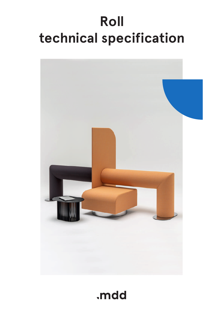# **Roll technical specification**



# .mdd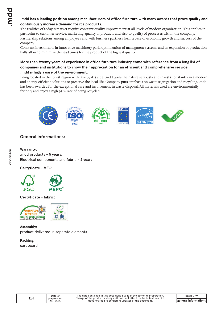# **.mdd has a leading position among manufacturers of office furniture with many awards that prove quality and continuously increase demand for it`s products.**

The realities of today`s market require constant quality improvement at all levels of modern organization. This applies in particular to customer service, marketing, quality of products and also to quality of processes within the company. Partnership relations among employees and with business partners form a base of economic growth and success of the company.

Constant investments in innovative machinery park, optimization of managment systems and an expansion of production halls allow to minimize the lead times for the product of the highest quality.

# **More than twenty years of experience in office furniture industry come with reference from a long list of companies and institutions to show their appreciation for an efficient and comprehensive service. .mdd is higly aware of the environment.**

Being located in the forest region with lake by it1s side, .mdd takes the nature seriously and invests constantly in a modern and energy-efficient solutions to preserve the local life. Company puts emphasis on waste segregation and recycling. .mdd has been awarded for the exceptional care and involvement in waste disposal. All materials used are environmentally friendly and enjoy a high 95 % rate of being recycled.



# **General informations:**

#### **Warranty :**

.mdd products - **5 years**. Electrical components and fabric - **2 years**.

# **Certyficate - MFC:**



#### **Certyficate - fabric:**



**Assembly:** product delivered in separate elements

**Packing:** cardboard

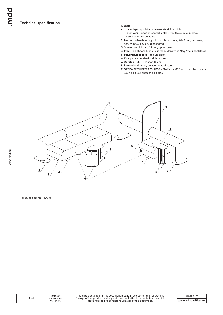#### **Technical specification**

#### **1. Base:**

- outer layer polished stainless steel 3 mm thick
- inner layer powder-coated metal 5 mm thick, colour: black + self-adhesive bumpers
- **2. Backrest** hardwearing solid cardboard core, Ø264 mm, cut foam, density of 30 kg/m3, upholstered
- **3. Screens** chipboard 22 mm, upholstered
- **4. Stool** chipboard 18 mm, cut foam, density of 30kg/m3, upholstered
- **5. Polypropylene feet -** colour: black
- **6. Kick plate polished stainless steel**
- **7. Worktop** MDF + veneer, 8 mm
- **8. Base** sheet metal, powder coated steel
- **9. OPTION WITH EXTRA CHARGE** Mediabox M07 colour: black, white; 230V + 1 x USB charger + 1 x Rj45



- max. obciążenie - 120 kg

|      | Date of                   |
|------|---------------------------|
| Roll | preparation<br>27.11.2020 |
|      |                           |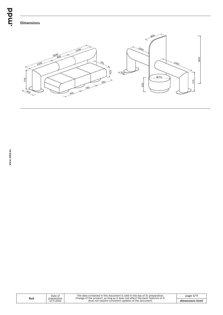bpur.



| Roll | Date of<br>preparation | The data contained in this document is valid in the day of its preparation.<br>Change of the product, as long as it does not affect the basic features of it, | page $4/9$      |
|------|------------------------|---------------------------------------------------------------------------------------------------------------------------------------------------------------|-----------------|
|      | 27.11.2020             | does not require consistent updates of the document.                                                                                                          | dimensions (mm) |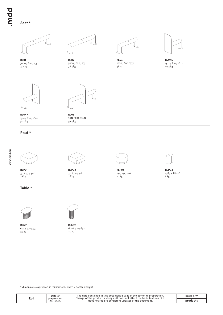bpur.

# **Seat \***







38.4 kg 3000 / 600 / 775



**RL02 RL03 RL04L** 38 kg  $2200 / 600 / 775$ 



50.2 kg 1522 / 800 / 1602



50.2 kg **RL04P RL05**<br>1522/800/1602 **RL05**<br>3022/800/1602 1522 / 800 / 1602



59.4 kg

#### **Pouf \***

28 kg **RLP01** 751 / 751 / 426



**RLP02 RLP03** 28 kg 751 / 751 / 426



20 kg 751 / 751 / 426



**RLP04** 458 / 308 / 426 8 kg

#### **Table \***



 $20 \text{ kg}$ **RLS01** 600 / 400 / 350



**RLS02** 20 kg 600 / 400 / 650

\* dimensions expressed in millimeters: width x depth x height

| Roll | Date of<br>preparation | The data contained in this document is valid in the day of its preparation.<br>Change of the product, as long as it does not affect the basic features of it, | page 5/9 |
|------|------------------------|---------------------------------------------------------------------------------------------------------------------------------------------------------------|----------|
|      | 27.11.2020             | does not require consistent updates of the document.                                                                                                          | product: |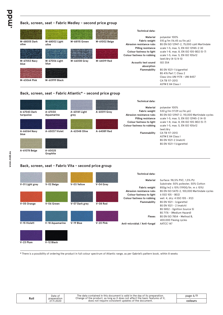# **Back, screen, seat - Fabric Medley - second price group**

|                       |                        |               |               | <b>Technical data:</b>                                                                      |                                                                                                                                      |
|-----------------------|------------------------|---------------|---------------|---------------------------------------------------------------------------------------------|--------------------------------------------------------------------------------------------------------------------------------------|
| M-68005 Dark<br>olive | M-68002 Light<br>olive | M-68115 Green | M-61002 Beige | Material<br><b>Fabric weight</b><br>Abrasion resistance rubs<br><b>Pilling resistance</b>   | polyester 100%<br>510 g/lm (16.45 oz/lin.yd.)<br>BS EN ISO 12947-2, 75,000 cykli Martindale<br>scale 1-5, max, 5, EN ISO 12945-2 (4) |
| M-67053 Navy<br>blue  | M-67006 Light<br>blue  | M-66008 Grey  | M-64019 Red   | Colour fastness to light<br>Colour fastness to rubbing<br>Acoustic test sound<br>absorption | scale 1-8, max. 8, EN ISO 105-B02 (5-7)<br>scale 1-5, max, 5, EN ISO 105x12<br>(wet/dry (4-5/4-5)<br>ISO 354                         |
| M-63064 Pink          | M-60999 Black          |               |               | <b>Flammability</b>                                                                         | BS EN 1021-1 (cigarette)<br><b>BS 476 Part 7, Class 2</b><br>Class Uno UNI 9174 - UNI 8457<br>CA TB 117-2013<br>ASTM E 84 Class I    |

#### **Back, screen, seat - Fabric Atlantic\* - second price group**

| A-67043 Dark<br>turquoise | A-67030<br>Aquamarine | A-60141 Light<br>grey | A-60011 Grey | <b>Technical data:</b><br>Material<br><b>Fabric weight</b><br>Abrasion resistance rubs              | polyester 100%<br>530 g/lm (17.09 oz/lin.yd.)<br>BS EN ISO 12947-2, 110,000 Martindale cycles                                                                             |
|---------------------------|-----------------------|-----------------------|--------------|-----------------------------------------------------------------------------------------------------|---------------------------------------------------------------------------------------------------------------------------------------------------------------------------|
| A-66064 Navy<br>blue      | A-65037 Violet        | A-62048 Olive         | A-64089 Red  | <b>Pilling resistance</b><br>Colour fastness to light<br>Colour fastness to rubbing<br>Flammability | scale 1-5, max. 5, EN ISO 12945-2 (4-5)<br>scale 1-8, max. 8, EN ISO 105-B02 (5-7)<br>scale 1-5, max. 5, EN ISO 105x12<br>(wet/dry<br>CA TB 117-2013<br>ASTM E 84 Class I |
| A-61078 Beige             | A-60025<br>Graphite   |                       |              |                                                                                                     | BS EN 1021-2 (match)<br>BS EN 1021-1 (cigarette)                                                                                                                          |

#### **Back, screen, seat - Fabric Vita - second price group**

|                 |                 |                |           | <b>Technical data:</b>                                 |                                                                  |
|-----------------|-----------------|----------------|-----------|--------------------------------------------------------|------------------------------------------------------------------|
|                 |                 |                |           | Material                                               | Surface: 98,5% PVC, 1,5% PU                                      |
| V-01 Light grey | V-02 Beige      | V-03 Yellow    | V-04 Grey |                                                        | Substrate: 50% poliester, 50% Cotton                             |
|                 |                 |                |           | Fabric weight<br>Abrasion resistance rubs              | 850g/m2 ± 10% (1190G/lin. m ± 10%)                               |
|                 |                 |                |           |                                                        | BS EN ISO 5470-2, 100,000 Martindale cycles<br>6 (ISO 105 - B02) |
|                 |                 |                |           | Colour fastness to light<br>Colour fastness to rubbing | wet: 4, dry: 4 (ISO 105 - X12)                                   |
|                 |                 |                |           | Flammability                                           | BS EN 1021 - (cigarette)                                         |
| V-05 Orange     | V-06 Green      | V-07 Dark grey | V-08 Red  |                                                        | BS EN 1021 - 2 (match)                                           |
|                 |                 |                |           |                                                        | BS 5852 - (Ignition Source 5)                                    |
|                 |                 |                |           |                                                        | BS 7176 - (Medium Hazard)                                        |
|                 |                 |                |           | <b>Flexes</b>                                          | BS EN ISO 7854 - Method B.                                       |
|                 |                 |                |           |                                                        | 400.000 Flexing cycles                                           |
| V-15 Violett    | V-18 Aquamarine | V-19 Blue      | V-20 Pink | Anti-microblal / Anti-fungal                           | AATCC 147                                                        |
|                 |                 |                |           |                                                        |                                                                  |
| V-23 Plum       | V-12 Black      |                |           |                                                        |                                                                  |

**\*** There is a possibility of ordering the product in full colour spectrum of Atlantic range, as per Gabriel's pattern book, within 8 weeks

**www.mdd.eu**

Date of preparation 27.11.2020

The data contained in this document is valid in the day of its preparation.<br>
Change of the product, as long as it does not affect the basic features of it,<br>
does not require consistent updates of the document.<br> **colours** 

page 6/9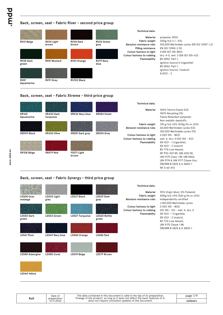#### **Back, screen, seat - Fabric River - second price group**



#### **Back, screen, seat - Fabric Xtreme - third price group**



#### **Back, screen, seat - Fabric Synergy - third price group**

| LDS08 Grey<br>melange      | LDS20 Light<br>grey | <b>LDS27 Black</b> | LDS29 Dark<br>grey    | <b>Technical data:</b><br>Material<br><b>Fabric weight</b><br>Abrasion resistance rubs | 95% Virgin Wool, 5% Poliamid<br>400g/m2 ±5% (560 g/lin.m ±5%)<br>Independently certified                                                                            |
|----------------------------|---------------------|--------------------|-----------------------|----------------------------------------------------------------------------------------|---------------------------------------------------------------------------------------------------------------------------------------------------------------------|
| <b>LDS50 Dark</b><br>green | LDS53 Green         | LDS57 Turquoise    | LDS60 Bottle<br>green | Colour fastness to light<br>Colour fastness to rubbing<br>Flammability                 | $\geq$ 100,000 Martindale cycles<br>5 (ISO 105 - B02)<br>ISO 105 - X12 - wet: 4, dry: 4<br>EN $1021 - 1$ (cigarette,<br>EN 1021 - 2 (match),<br>BS 7176 Low Hazard. |
| LDS61 Plum                 | LDS69 Navy blue     | LDS84 Orange       | LDS86 Red             |                                                                                        | <b>UNI 9175 Classe 1 IM.</b><br>ÖNORM B 3825 & A 3800-1                                                                                                             |
| LDS88 Aubergine            | <b>LDS85 Coral</b>  | LDS19 Beige        | <b>LDS79 Brown</b>    |                                                                                        |                                                                                                                                                                     |

**LDS44 Yellow**

| Roll | The data contained in this document is valid in the day of its preparation.<br>Date of<br>Change of the product, as long as it does not affect the basic features of it,<br>preparation | page 7/ <sup>r</sup>                                 |         |
|------|-----------------------------------------------------------------------------------------------------------------------------------------------------------------------------------------|------------------------------------------------------|---------|
|      | 27.11.2020                                                                                                                                                                              | does not require consistent updates of the document. | colours |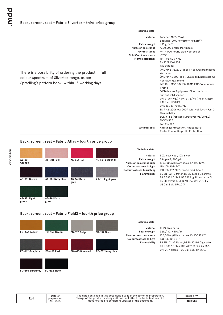#### **Back, screen, seat - Fabric Silvertex - third price group**

| Technical data: |  |
|-----------------|--|
|                 |  |

| There is a possibility of ordering the product in full<br>colour spectrum of Silvertex range, as per<br>Spradling's pattern book, within 15 working days. | Material<br><b>Fabric weight</b><br>Abrasion resistance<br>UV-resistance<br><b>Cold Crack resistance</b><br><b>Flame retardancy</b><br>Antimicrobial | Topcoat: 100% Vinyl<br>Backing: 100% Polyesterr Hi-Loft <sup>2™</sup><br>685 gr/m2<br>>300,000 cycles Martindale<br>>= 7 (1000 hours, blue wool scale)<br>$-23^{\circ}$ C<br>NF P 92-503 / M2<br>EN 1021, Part 1&2<br>DIN 4102 B2<br>ÖNORM B 3825, Gruppe I - Schwerbrennbares<br>Verhalten<br>ÖNORM A 3800, Teil I, Qualmbildungsklasse QI<br>- schwachqualmend<br>IMO Res. MSC.307 (88) (2010 FTP Code) Annex<br>I Part 8<br>(MED) Marine Equipment Directive in its<br>current valid version<br>UNI 91 75 (1987) / UNI 9175/FAI (1994) Classe<br>I.IM (uno I EMME)<br>UNE 23.727-90 IR / M2<br>EN 71-2: 2006+AI: 2007 Safety of Toys - Part 2:<br>Flammability<br>ECE R I I 8 (replaces Directivee 95/28/EC)<br><b>FMVSS 302</b><br>FAR 25/853<br>Antifungal Protection, Antibacterial |
|-----------------------------------------------------------------------------------------------------------------------------------------------------------|------------------------------------------------------------------------------------------------------------------------------------------------------|-------------------------------------------------------------------------------------------------------------------------------------------------------------------------------------------------------------------------------------------------------------------------------------------------------------------------------------------------------------------------------------------------------------------------------------------------------------------------------------------------------------------------------------------------------------------------------------------------------------------------------------------------------------------------------------------------------------------------------------------------------------------------------------------|
|                                                                                                                                                           |                                                                                                                                                      | Protection, Antimycotic Protection                                                                                                                                                                                                                                                                                                                                                                                                                                                                                                                                                                                                                                                                                                                                                        |

#### **Back, screen, seat - Fabric Atlas - fourth price group**



#### **Back, screen, seat - Fabric Field2 - fourth price group**



**FD-693 Burgundy**

**FD-192 Black**

page 8/9 **Roll** The data contained in this document is valid in the day of its preparation. Change of the product, as long as it does not affect the basic features of it, does not require consistent updates of the document. **colours** Date of preparation 27.11.2020